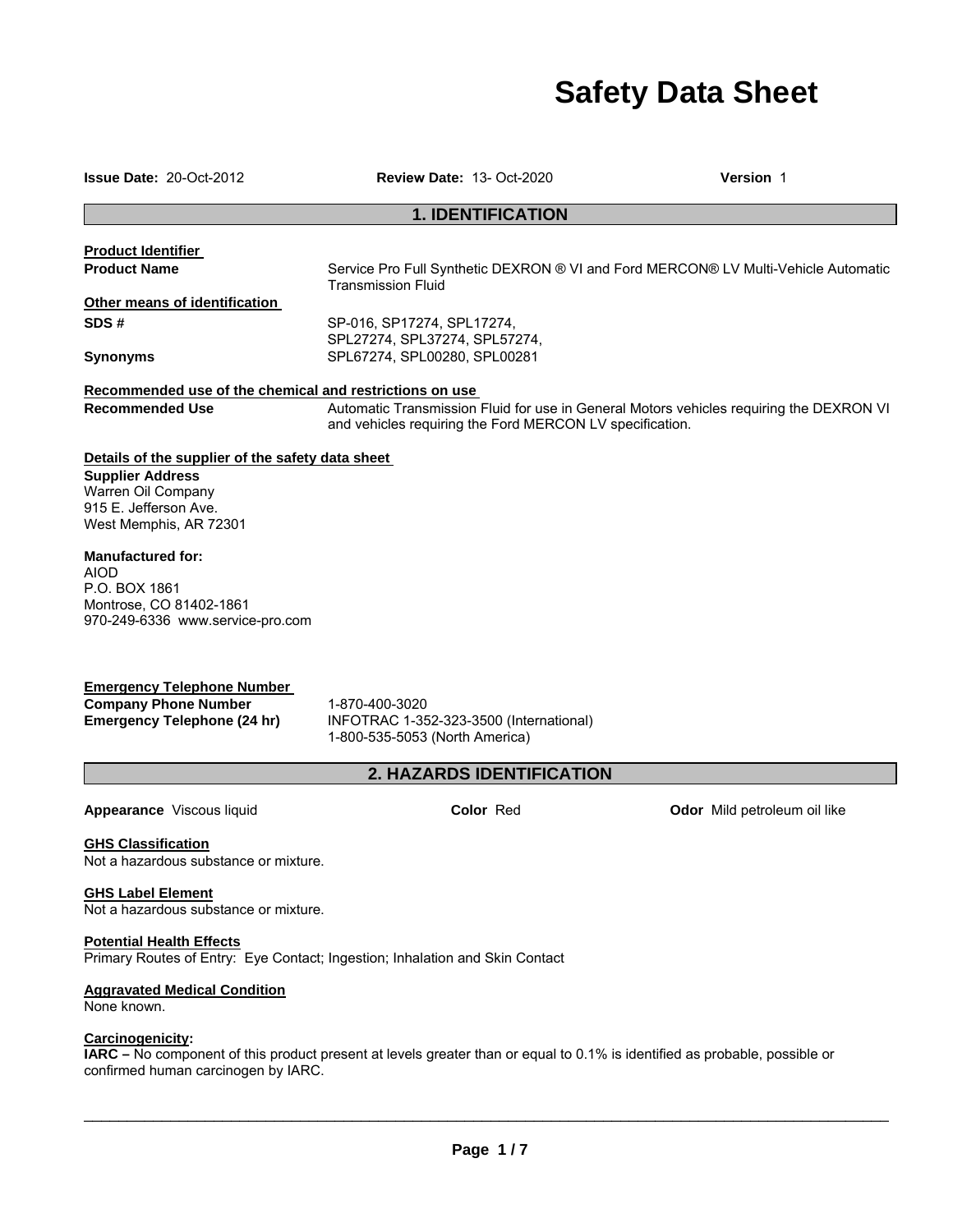# **Safety Data Sheet**

**Issue Date:** 20-Oct-2012 **Review Date:** 13- Oct-2020 **Version** 1

### **1. IDENTIFICATION**

# **Product Identifier**

**Product Name Service Pro Full Synthetic DEXRON ® VI and Ford MERCON® LV Multi-Vehicle Automatic** Transmission Fluid

**Other means of identification** 

**SDS #** SP-016, SP17274, SPL17274, SPL27274, SPL37274, SPL57274, **Synonyms** SPL67274, SPL00280, SPL00281

### **Recommended use of the chemical and restrictions on use**

Recommended Use **Automatic Transmission Fluid for use in General Motors vehicles requiring the DEXRON VI** and vehicles requiring the Ford MERCON LV specification.

## **Details of the supplier of the safety data sheet**

**Supplier Address**  Warren Oil Company 915 E. Jefferson Ave. West Memphis, AR 72301

### **Manufactured for:**

AIOD P.O. BOX 1861 Montrose, CO 81402-1861 970-249-6336 www.service-pro.com

### **Emergency Telephone Number**

**Company Phone Number** 1-870-400-3020<br> **Emergency Telephone (24 hr)** INFOTRAC 1-35

**Emergency Telephone (24 hr)** INFOTRAC 1-352-323-3500 (International) 1-800-535-5053 (North America)

## **2. HAZARDS IDENTIFICATION**

**Appearance** Viscous liquid **Color** Red **Odor** Mild petroleum oil like

### **GHS Classification**

Not a hazardous substance or mixture.

### **GHS Label Element**

Not a hazardous substance or mixture.

### **Potential Health Effects**

Primary Routes of Entry: Eye Contact; Ingestion; Inhalation and Skin Contact

### **Aggravated Medical Condition**

None known.

### **Carcinogenicity:**

**IARC –** No component of this product present at levels greater than or equal to 0.1% is identified as probable, possible or confirmed human carcinogen by IARC.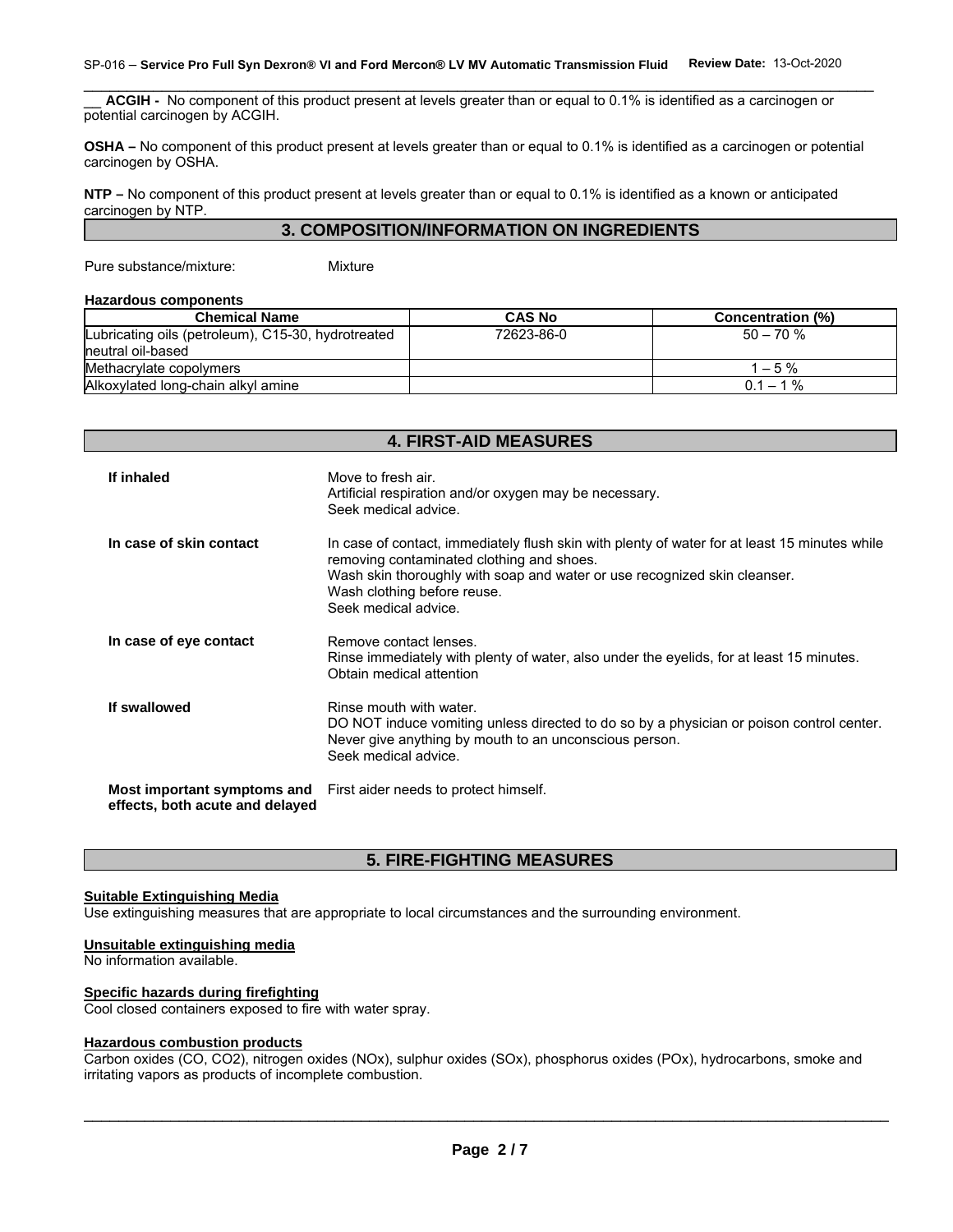\_\_ **ACGIH -** No component of this product present at levels greater than or equal to 0.1% is identified as a carcinogen or potential carcinogen by ACGIH.

**OSHA –** No component of this product present at levels greater than or equal to 0.1% is identified as a carcinogen or potential carcinogen by OSHA.

\_\_\_\_\_\_\_\_\_\_\_\_\_\_\_\_\_\_\_\_\_\_\_\_\_\_\_\_\_\_\_\_\_\_\_\_\_\_\_\_\_\_\_\_\_\_\_\_\_\_\_\_\_\_\_\_\_\_\_\_\_\_\_\_\_\_\_\_\_\_\_\_\_\_\_\_\_\_\_\_\_\_\_\_\_\_\_\_\_\_\_

**NTP –** No component of this product present at levels greater than or equal to 0.1% is identified as a known or anticipated carcinogen by NTP.

### **3. COMPOSITION/INFORMATION ON INGREDIENTS**

Pure substance/mixture: Mixture

#### **Hazardous components**

| <b>Chemical Name</b>                               | <b>CAS No</b> | Concentration (%) |
|----------------------------------------------------|---------------|-------------------|
| Lubricating oils (petroleum), C15-30, hydrotreated | 72623-86-0    | $50 - 70%$        |
| Ineutral oil-based                                 |               |                   |
| Methacrylate copolymers                            |               | $1 - 5\%$         |
| Alkoxylated long-chain alkyl amine                 |               | 1 %<br>$0.1 -$    |

**4. FIRST-AID MEASURES**

# **If inhaled** Move to fresh air. Artificial respiration and/or oxygen may be necessary. Seek medical advice. **In case of skin contact** In case of contact, immediately flush skin with plenty of water for at least 15 minutes while removing contaminated clothing and shoes. Wash skin thoroughly with soap and water or use recognized skin cleanser. Wash clothing before reuse. Seek medical advice. **In case of eye contact Remove contact lenses.** Rinse immediately with plenty of water, also under the eyelids, for at least 15 minutes. Obtain medical attention **If swallowed Rinse mouth with water.** DO NOT induce vomiting unless directed to do so by a physician or poison control center. Never give anything by mouth to an unconscious person. Seek medical advice. **Most important symptoms and effects, both acute and delayed**  First aider needs to protect himself.

### **5. FIRE-FIGHTING MEASURES**

### **Suitable Extinguishing Media**

Use extinguishing measures that are appropriate to local circumstances and the surrounding environment.

### **Unsuitable extinguishing media**

No information available.

### **Specific hazards during firefighting**

Cool closed containers exposed to fire with water spray.

### **Hazardous combustion products**

Carbon oxides (CO, CO2), nitrogen oxides (NOx), sulphur oxides (SOx), phosphorus oxides (POx), hydrocarbons, smoke and irritating vapors as products of incomplete combustion.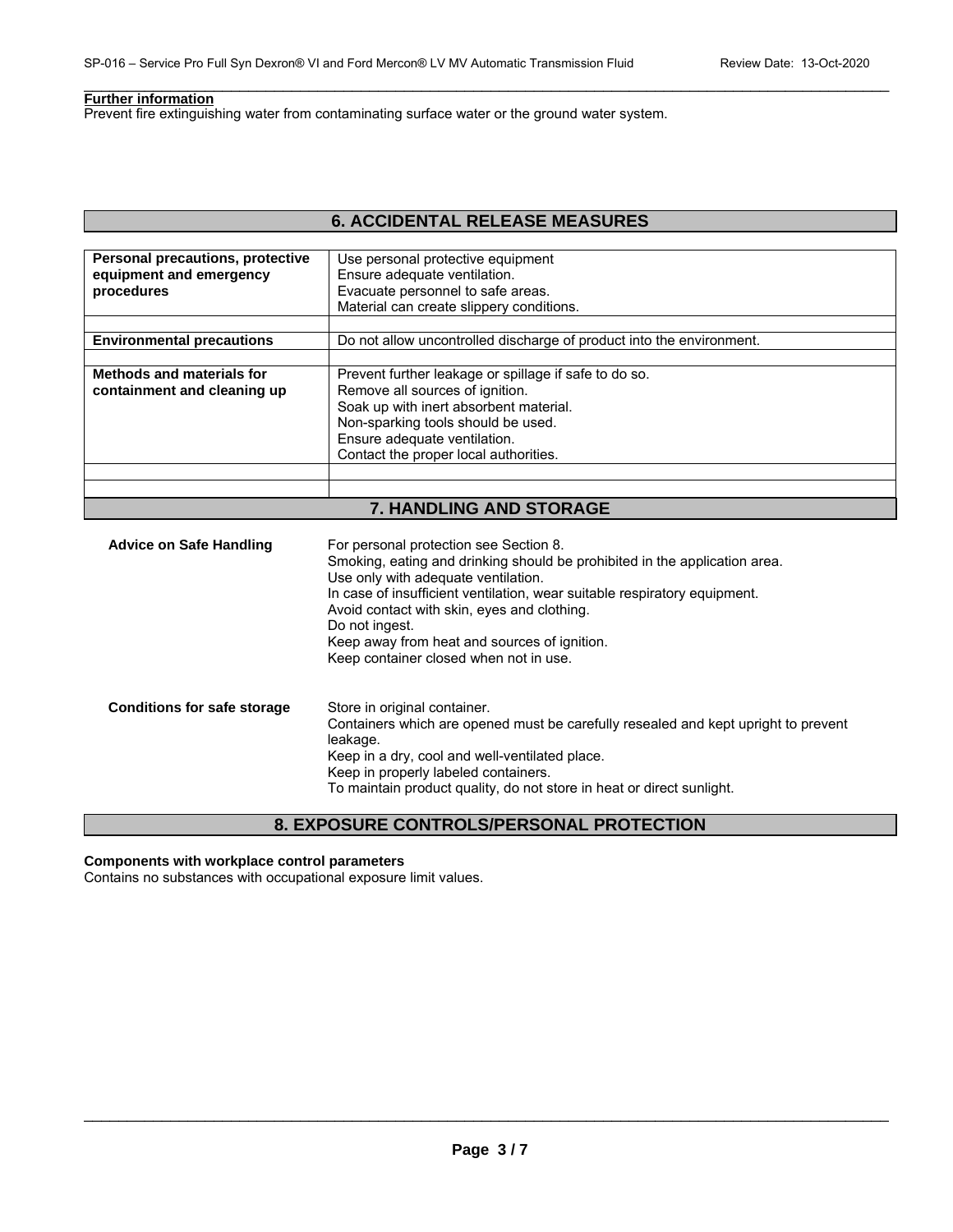#### \_\_\_\_\_\_\_\_\_\_\_\_\_\_\_\_\_\_\_\_\_\_\_\_\_\_\_\_\_\_\_\_\_\_\_\_\_\_\_\_\_\_\_\_\_\_\_\_\_\_\_\_\_\_\_\_\_\_\_\_\_\_\_\_\_\_\_\_\_\_\_\_\_\_\_\_\_\_\_\_\_\_\_\_\_\_\_\_\_\_\_\_\_ **Further information**

Prevent fire extinguishing water from contaminating surface water or the ground water system.

# **6. ACCIDENTAL RELEASE MEASURES**

| Personal precautions, protective<br>equipment and emergency<br>procedures | Use personal protective equipment<br>Ensure adequate ventilation.<br>Evacuate personnel to safe areas.<br>Material can create slippery conditions.                                                                                                |
|---------------------------------------------------------------------------|---------------------------------------------------------------------------------------------------------------------------------------------------------------------------------------------------------------------------------------------------|
| <b>Environmental precautions</b>                                          | Do not allow uncontrolled discharge of product into the environment.                                                                                                                                                                              |
|                                                                           |                                                                                                                                                                                                                                                   |
| Methods and materials for<br>containment and cleaning up                  | Prevent further leakage or spillage if safe to do so.<br>Remove all sources of ignition.<br>Soak up with inert absorbent material.<br>Non-sparking tools should be used.<br>Ensure adequate ventilation.<br>Contact the proper local authorities. |
|                                                                           |                                                                                                                                                                                                                                                   |

### **7. HANDLING AND STORAGE**

| <b>Advice on Safe Handling</b>     | For personal protection see Section 8.<br>Smoking, eating and drinking should be prohibited in the application area.<br>Use only with adequate ventilation.<br>In case of insufficient ventilation, wear suitable respiratory equipment.<br>Avoid contact with skin, eyes and clothing.<br>Do not ingest.<br>Keep away from heat and sources of ignition.<br>Keep container closed when not in use. |
|------------------------------------|-----------------------------------------------------------------------------------------------------------------------------------------------------------------------------------------------------------------------------------------------------------------------------------------------------------------------------------------------------------------------------------------------------|
| <b>Conditions for safe storage</b> | Store in original container.<br>Containers which are opened must be carefully resealed and kept upright to prevent<br>leakage.<br>Keep in a dry, cool and well-ventilated place.<br>Keep in properly labeled containers.<br>To maintain product quality, do not store in heat or direct sunlight.                                                                                                   |

# **8. EXPOSURE CONTROLS/PERSONAL PROTECTION**

### **Components with workplace control parameters**

Contains no substances with occupational exposure limit values.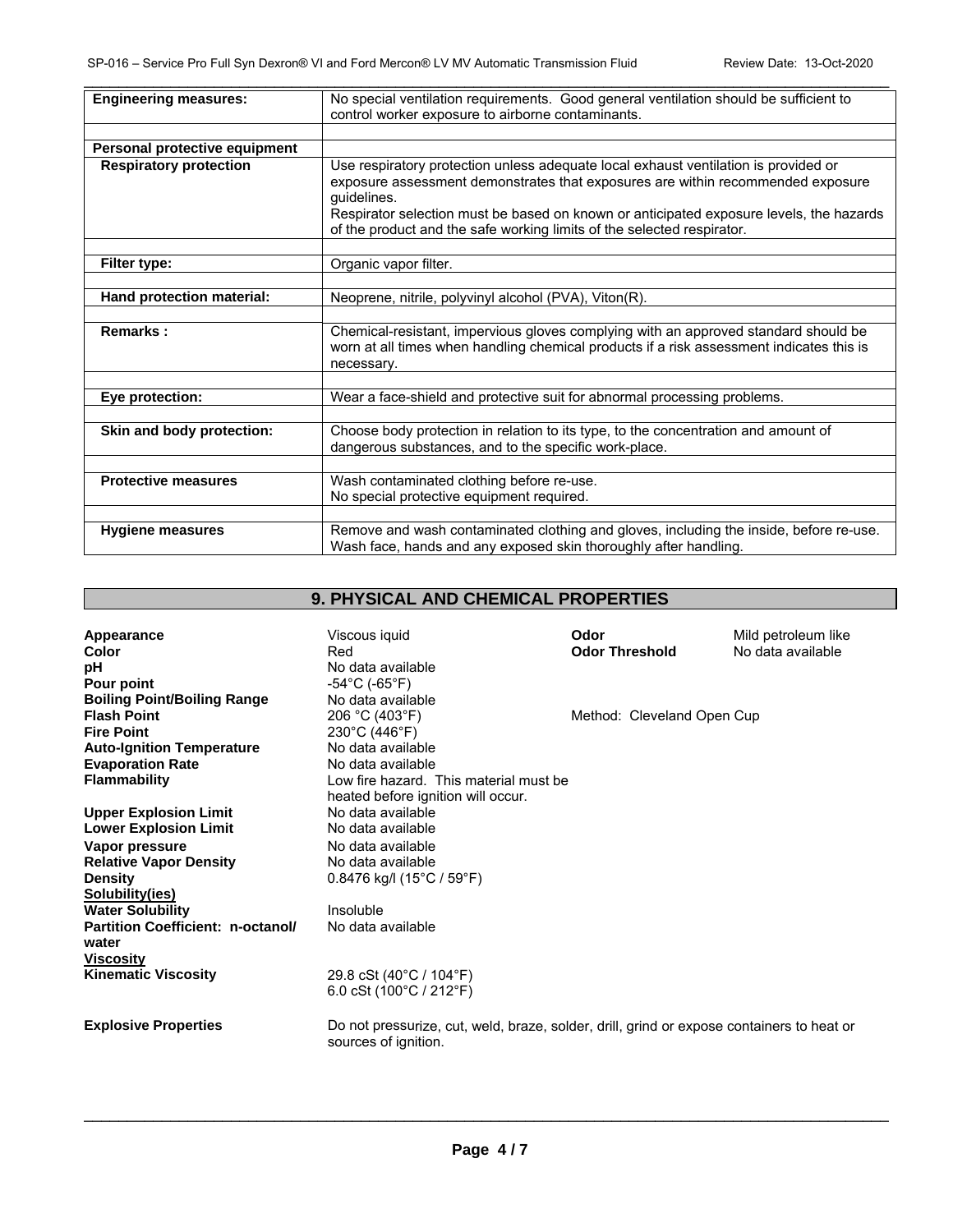| <b>Engineering measures:</b>  | No special ventilation requirements. Good general ventilation should be sufficient to                                                                                                         |  |
|-------------------------------|-----------------------------------------------------------------------------------------------------------------------------------------------------------------------------------------------|--|
|                               | control worker exposure to airborne contaminants.                                                                                                                                             |  |
|                               |                                                                                                                                                                                               |  |
| Personal protective equipment |                                                                                                                                                                                               |  |
| <b>Respiratory protection</b> | Use respiratory protection unless adequate local exhaust ventilation is provided or                                                                                                           |  |
|                               | exposure assessment demonstrates that exposures are within recommended exposure<br>guidelines.                                                                                                |  |
|                               | Respirator selection must be based on known or anticipated exposure levels, the hazards<br>of the product and the safe working limits of the selected respirator.                             |  |
|                               |                                                                                                                                                                                               |  |
| <b>Filter type:</b>           | Organic vapor filter.                                                                                                                                                                         |  |
|                               |                                                                                                                                                                                               |  |
| Hand protection material:     | Neoprene, nitrile, polyvinyl alcohol (PVA), Viton(R).                                                                                                                                         |  |
|                               |                                                                                                                                                                                               |  |
| <b>Remarks:</b>               | Chemical-resistant, impervious gloves complying with an approved standard should be<br>worn at all times when handling chemical products if a risk assessment indicates this is<br>necessary. |  |
|                               |                                                                                                                                                                                               |  |
| Eye protection:               | Wear a face-shield and protective suit for abnormal processing problems.                                                                                                                      |  |
|                               |                                                                                                                                                                                               |  |
| Skin and body protection:     | Choose body protection in relation to its type, to the concentration and amount of<br>dangerous substances, and to the specific work-place.                                                   |  |
|                               |                                                                                                                                                                                               |  |
| <b>Protective measures</b>    | Wash contaminated clothing before re-use.                                                                                                                                                     |  |
|                               | No special protective equipment required.                                                                                                                                                     |  |
|                               |                                                                                                                                                                                               |  |
| <b>Hygiene measures</b>       | Remove and wash contaminated clothing and gloves, including the inside, before re-use.                                                                                                        |  |
|                               | Wash face, hands and any exposed skin thoroughly after handling.                                                                                                                              |  |

# **9. PHYSICAL AND CHEMICAL PROPERTIES**

| Appearance                               | Viscous iquid                                                                                                     | Odor                       | Mild petroleum like |
|------------------------------------------|-------------------------------------------------------------------------------------------------------------------|----------------------------|---------------------|
| Color                                    | Red                                                                                                               | <b>Odor Threshold</b>      | No data available   |
| pH                                       | No data available                                                                                                 |                            |                     |
| Pour point                               | $-54^{\circ}$ C (-65 $^{\circ}$ F)                                                                                |                            |                     |
| <b>Boiling Point/Boiling Range</b>       | No data available                                                                                                 |                            |                     |
| <b>Flash Point</b>                       | 206 °C (403°F)                                                                                                    | Method: Cleveland Open Cup |                     |
| <b>Fire Point</b>                        | 230°C (446°F)                                                                                                     |                            |                     |
| <b>Auto-Ignition Temperature</b>         | No data available                                                                                                 |                            |                     |
| <b>Evaporation Rate</b>                  | No data available                                                                                                 |                            |                     |
| <b>Flammability</b>                      | Low fire hazard. This material must be                                                                            |                            |                     |
|                                          | heated before ignition will occur.                                                                                |                            |                     |
| <b>Upper Explosion Limit</b>             | No data available                                                                                                 |                            |                     |
| <b>Lower Explosion Limit</b>             | No data available                                                                                                 |                            |                     |
| Vapor pressure                           | No data available                                                                                                 |                            |                     |
| <b>Relative Vapor Density</b>            | No data available                                                                                                 |                            |                     |
| <b>Density</b>                           | $0.8476$ kg/l (15°C / 59°F)                                                                                       |                            |                     |
| Solubility(ies)                          |                                                                                                                   |                            |                     |
| <b>Water Solubility</b>                  | Insoluble                                                                                                         |                            |                     |
| <b>Partition Coefficient: n-octanol/</b> | No data available                                                                                                 |                            |                     |
| water                                    |                                                                                                                   |                            |                     |
| <b>Viscosity</b>                         |                                                                                                                   |                            |                     |
| <b>Kinematic Viscosity</b>               | 29.8 cSt (40°C / 104°F)                                                                                           |                            |                     |
|                                          | 6.0 cSt $(100^{\circ}C / 212^{\circ}F)$                                                                           |                            |                     |
| <b>Explosive Properties</b>              | Do not pressurize, cut, weld, braze, solder, drill, grind or expose containers to heat or<br>sources of ignition. |                            |                     |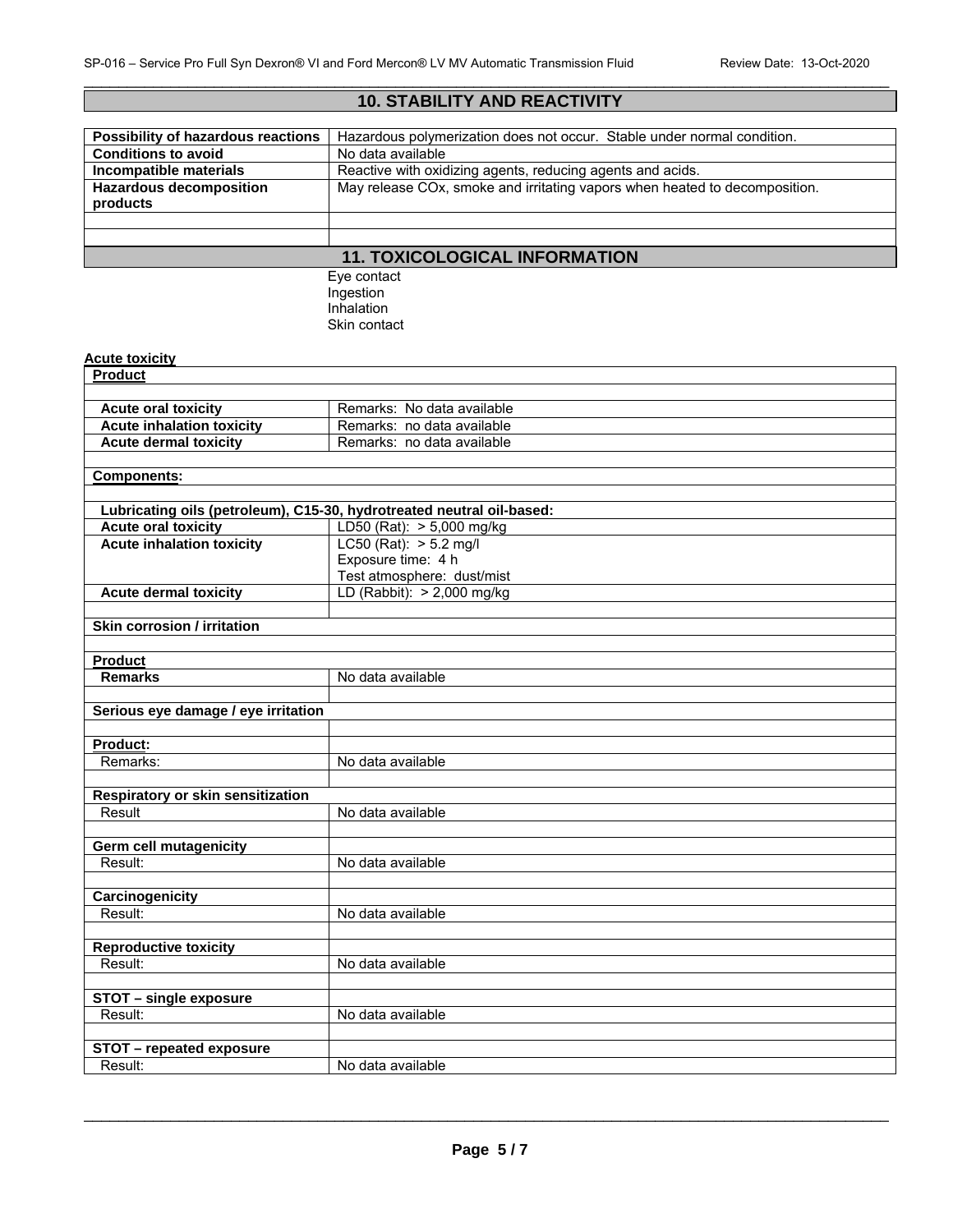# **10. STABILITY AND REACTIVITY Possibility of hazardous reactions** | Hazardous polymerization does not occur. Stable under normal condition.<br>
Conditions to avoid **Nota** No data available **Conditions to avoid<br>Incompatible materials** Reactive with oxidizing agents, reducing agents and acids. **Hazardous decomposition products**  May release COx, smoke and irritating vapors when heated to decomposition. **11. TOXICOLOGICAL INFORMATION** Eye contact Ingestion Inhalation Skin contact **Acute toxicity Product Acute oral toxicity Remarks: No data available Acute inhalation toxicity** Remarks: no data available **Acute dermal toxicity** | Remarks: no data available **Components: Lubricating oils (petroleum), C15-30, hydrotreated neutral oil-based: Acute oral toxicity** <br> **Acute inhalation toxicity** LC50 (Rat): > 5.2 mg/l **Acute inhalation toxicity** Exposure time: 4 h Test atmosphere: dust/mist  **Acute dermal toxicity** LD (Rabbit): > 2,000 mg/kg **Skin corrosion / irritation Product Remarks** No data available **Serious eye damage / eye irritation Product:** Remarks: No data available **Respiratory or skin sensitization**  Result No data available **Germ cell mutagenicity**  Result: No data available **Carcinogenicity** Result: No data available **Reproductive toxicity**  Result: No data available **STOT – single exposure**  Result: No data available **STOT – repeated exposure**  Result: No data available

\_\_\_\_\_\_\_\_\_\_\_\_\_\_\_\_\_\_\_\_\_\_\_\_\_\_\_\_\_\_\_\_\_\_\_\_\_\_\_\_\_\_\_\_\_\_\_\_\_\_\_\_\_\_\_\_\_\_\_\_\_\_\_\_\_\_\_\_\_\_\_\_\_\_\_\_\_\_\_\_\_\_\_\_\_\_\_\_\_\_\_\_\_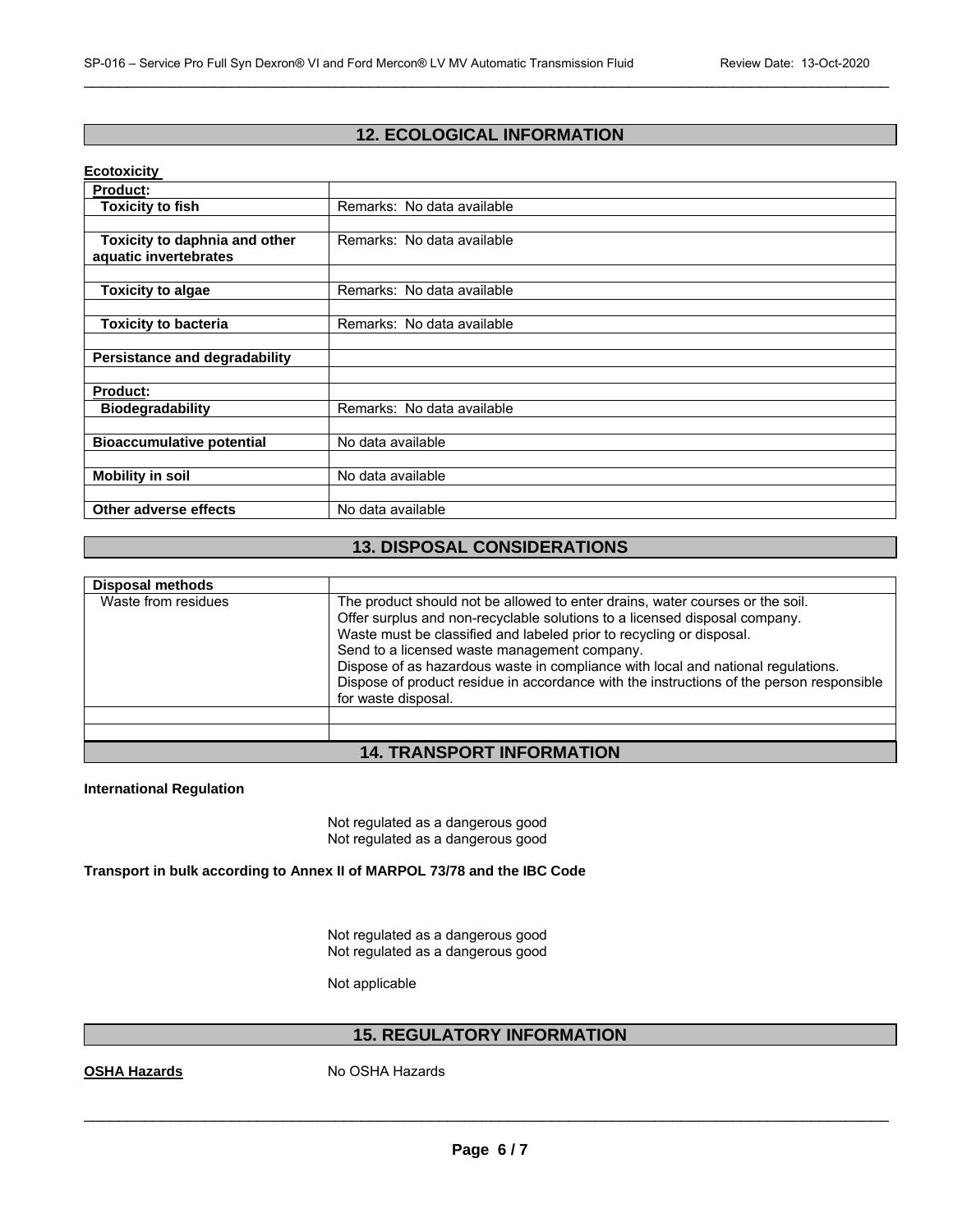# **12. ECOLOGICAL INFORMATION**

\_\_\_\_\_\_\_\_\_\_\_\_\_\_\_\_\_\_\_\_\_\_\_\_\_\_\_\_\_\_\_\_\_\_\_\_\_\_\_\_\_\_\_\_\_\_\_\_\_\_\_\_\_\_\_\_\_\_\_\_\_\_\_\_\_\_\_\_\_\_\_\_\_\_\_\_\_\_\_\_\_\_\_\_\_\_\_\_\_\_\_\_\_

### **Ecotoxicity**

| <b>Product:</b>                                        |                            |
|--------------------------------------------------------|----------------------------|
| <b>Toxicity to fish</b>                                | Remarks: No data available |
|                                                        |                            |
| Toxicity to daphnia and other<br>aquatic invertebrates | Remarks: No data available |
|                                                        |                            |
| <b>Toxicity to algae</b>                               | Remarks: No data available |
|                                                        |                            |
| <b>Toxicity to bacteria</b>                            | Remarks: No data available |
|                                                        |                            |
| Persistance and degradability                          |                            |
|                                                        |                            |
| <b>Product:</b>                                        |                            |
| <b>Biodegradability</b>                                | Remarks: No data available |
|                                                        |                            |
| <b>Bioaccumulative potential</b>                       | No data available          |
|                                                        |                            |
| <b>Mobility in soil</b>                                | No data available          |
|                                                        |                            |
| Other adverse effects                                  | No data available          |

### **13. DISPOSAL CONSIDERATIONS**

| <b>Disposal methods</b> |                                                                                                                                                                                                                                                                                                                                                                                                                                                                                            |
|-------------------------|--------------------------------------------------------------------------------------------------------------------------------------------------------------------------------------------------------------------------------------------------------------------------------------------------------------------------------------------------------------------------------------------------------------------------------------------------------------------------------------------|
| Waste from residues     | The product should not be allowed to enter drains, water courses or the soil.<br>Offer surplus and non-recyclable solutions to a licensed disposal company.<br>Waste must be classified and labeled prior to recycling or disposal.<br>Send to a licensed waste management company.<br>Dispose of as hazardous waste in compliance with local and national regulations.<br>Dispose of product residue in accordance with the instructions of the person responsible<br>for waste disposal. |
|                         |                                                                                                                                                                                                                                                                                                                                                                                                                                                                                            |
|                         |                                                                                                                                                                                                                                                                                                                                                                                                                                                                                            |
|                         | $\blacksquare$                                                                                                                                                                                                                                                                                                                                                                                                                                                                             |

### **14. TRANSPORT INFORMATION**

### **International Regulation**

Not regulated as a dangerous good Not regulated as a dangerous good

**Transport in bulk according to Annex II of MARPOL 73/78 and the IBC Code** 

Not regulated as a dangerous good Not regulated as a dangerous good

Not applicable

### **15. REGULATORY INFORMATION**

**OSHA Hazards** No OSHA Hazards